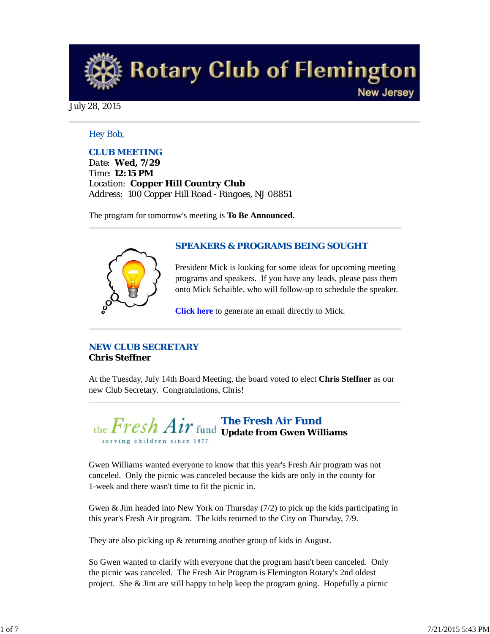**Rotary Club of Flemington New Jersey** 

July 28, 2015

#### *Hey Bob,*

## *CLUB MEETING*

*Date: Wed, 7/29 Time: 12:15 PM Location: Copper Hill Country Club Address: 100 Copper Hill Road - Ringoes, NJ 08851*

The program for tomorrow's meeting is **To Be Announced**.



#### *SPEAKERS & PROGRAMS BEING SOUGHT*

President Mick is looking for some ideas for upcoming meeting programs and speakers. If you have any leads, please pass them onto Mick Schaible, who will follow-up to schedule the speaker.

**Click here** to generate an email directly to Mick.

# *NEW CLUB SECRETARY* **Chris Steffner**

At the Tuesday, July 14th Board Meeting, the board voted to elect **Chris Steffner** as our new Club Secretary. Congratulations, Chris!

*The Fresh Air Fund*  **Update from Gwen Williams** serving children since 187

Gwen Williams wanted everyone to know that this year's Fresh Air program was not canceled. Only the picnic was canceled because the kids are only in the county for 1-week and there wasn't time to fit the picnic in.

Gwen & Jim headed into New York on Thursday (7/2) to pick up the kids participating in this year's Fresh Air program. The kids returned to the City on Thursday, 7/9.

They are also picking up & returning another group of kids in August.

So Gwen wanted to clarify with everyone that the program hasn't been canceled. Only the picnic was canceled. The Fresh Air Program is Flemington Rotary's 2nd oldest project. She & Jim are still happy to help keep the program going. Hopefully a picnic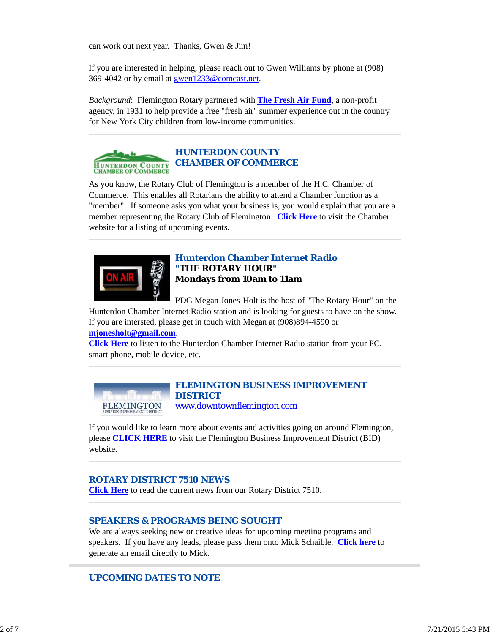can work out next year. Thanks, Gwen & Jim!

If you are interested in helping, please reach out to Gwen Williams by phone at (908) 369-4042 or by email at gwen1233@comcast.net.

*Background*: Flemington Rotary partnered with **The Fresh Air Fund**, a non-profit agency, in 1931 to help provide a free "fresh air" summer experience out in the country for New York City children from low-income communities.



# *HUNTERDON COUNTY CHAMBER OF COMMERCE*

As you know, the Rotary Club of Flemington is a member of the H.C. Chamber of Commerce. This enables all Rotarians the ability to attend a Chamber function as a "member". If someone asks you what your business is, you would explain that you are a member representing the Rotary Club of Flemington. **Click Here** to visit the Chamber website for a listing of upcoming events.



## *Hunterdon Chamber Internet Radio "THE ROTARY HOUR"* **Mondays from 10am to 11am**

PDG Megan Jones-Holt is the host of "The Rotary Hour" on the

Hunterdon Chamber Internet Radio station and is looking for guests to have on the show. If you are intersted, please get in touch with Megan at (908)894-4590 or **mjonesholt@gmail.com**.

**Click Here** to listen to the Hunterdon Chamber Internet Radio station from your PC, smart phone, mobile device, etc.

*FLEMINGTON BUSINESS IMPROVEMENT DISTRICT* **FLEMINGTON** 

www.downtownflemington.com If you would like to learn more about events and activities going on around Flemington,

please **CLICK HERE** to visit the Flemington Business Improvement District (BID) website.

# *ROTARY DISTRICT 7510 NEWS*

**Click Here** to read the current news from our Rotary District 7510.

# *SPEAKERS & PROGRAMS BEING SOUGHT*

We are always seeking new or creative ideas for upcoming meeting programs and speakers. If you have any leads, please pass them onto Mick Schaible. **Click here** to generate an email directly to Mick.

# *UPCOMING DATES TO NOTE*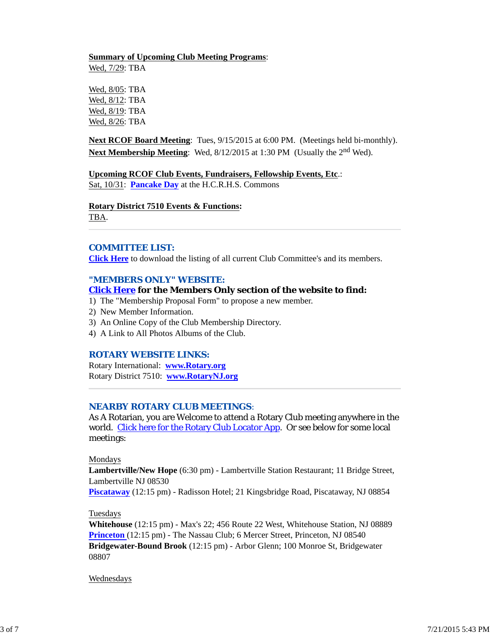# **Summary of Upcoming Club Meeting Programs**:

Wed, 7/29: TBA

Wed, 8/05: TBA Wed, 8/12: TBA Wed, 8/19: TBA Wed, 8/26: TBA

**Next RCOF Board Meeting**: Tues, 9/15/2015 at 6:00 PM. (Meetings held bi-monthly). **Next Membership Meeting**: Wed, 8/12/2015 at 1:30 PM (Usually the 2<sup>nd</sup> Wed).

**Upcoming RCOF Club Events, Fundraisers, Fellowship Events, Etc**.: Sat, 10/31: **Pancake Day** at the H.C.R.H.S. Commons

#### **Rotary District 7510 Events & Functions:**

TBA.

## *COMMITTEE LIST:*

**Click Here** to download the listing of all current Club Committee's and its members.

## *"MEMBERS ONLY" WEBSITE:*

#### **Click Here for the Members Only section of the website to find:**

1) The "Membership Proposal Form" to propose a new member.

- 2) New Member Information.
- 3) An Online Copy of the Club Membership Directory.
- 4) A Link to All Photos Albums of the Club.

## *ROTARY WEBSITE LINKS:*

Rotary International: **www.Rotary.org** Rotary District 7510: **www.RotaryNJ.org**

## *NEARBY ROTARY CLUB MEETINGS:*

As A Rotarian, you are Welcome to attend a Rotary Club meeting anywhere in the world. Click here for the Rotary Club Locator App. Or see below for some local meetings:

#### Mondays

**Lambertville/New Hope** (6:30 pm) - Lambertville Station Restaurant; 11 Bridge Street, Lambertville NJ 08530

**Piscataway** (12:15 pm) - Radisson Hotel; 21 Kingsbridge Road, Piscataway, NJ 08854

## Tuesdays

**Whitehouse** (12:15 pm) - Max's 22; 456 Route 22 West, Whitehouse Station, NJ 08889 **Princeton** (12:15 pm) - The Nassau Club; 6 Mercer Street, Princeton, NJ 08540 **Bridgewater-Bound Brook** (12:15 pm) - Arbor Glenn; 100 Monroe St, Bridgewater 08807

#### Wednesdays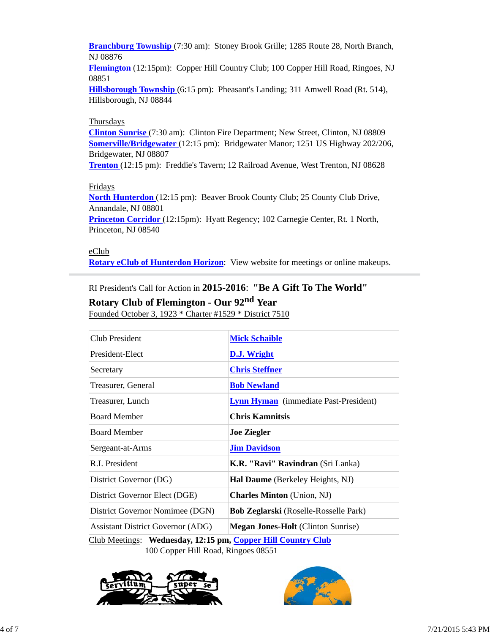**Branchburg Township** (7:30 am): Stoney Brook Grille; 1285 Route 28, North Branch, NJ 08876

**Flemington** (12:15pm): Copper Hill Country Club; 100 Copper Hill Road, Ringoes, NJ 08851

**Hillsborough Township** (6:15 pm): Pheasant's Landing; 311 Amwell Road (Rt. 514), Hillsborough, NJ 08844

## **Thursdays**

**Clinton Sunrise** (7:30 am): Clinton Fire Department; New Street, Clinton, NJ 08809 **Somerville/Bridgewater** (12:15 pm): Bridgewater Manor; 1251 US Highway 202/206, Bridgewater, NJ 08807

**Trenton** (12:15 pm): Freddie's Tavern; 12 Railroad Avenue, West Trenton, NJ 08628

# Fridays

**North Hunterdon** (12:15 pm): Beaver Brook County Club; 25 County Club Drive, Annandale, NJ 08801

**Princeton Corridor** (12:15pm): Hyatt Regency; 102 Carnegie Center, Rt. 1 North, Princeton, NJ 08540

eClub

**Rotary eClub of Hunterdon Horizon**: View website for meetings or online makeups.

RI President's Call for Action in **2015-2016**: **"Be A Gift To The World"**

# **Rotary Club of Flemington - Our 92nd Year**

Founded October 3, 1923 \* Charter #1529 \* District 7510

| Club President                                               | <b>Mick Schaible</b>                         |  |  |
|--------------------------------------------------------------|----------------------------------------------|--|--|
| President-Elect                                              | <b>D.J.</b> Wright                           |  |  |
| Secretary                                                    | <b>Chris Steffner</b>                        |  |  |
| Treasurer, General                                           | <b>Bob Newland</b>                           |  |  |
| Treasurer, Lunch                                             | <b>Lynn Hyman</b> (immediate Past-President) |  |  |
| <b>Board Member</b>                                          | <b>Chris Kamnitsis</b>                       |  |  |
| <b>Board Member</b>                                          | <b>Joe Ziegler</b>                           |  |  |
| Sergeant-at-Arms                                             | <b>Jim Davidson</b>                          |  |  |
| R.I. President                                               | K.R. "Ravi" Ravindran (Sri Lanka)            |  |  |
| District Governor (DG)                                       | Hal Daume (Berkeley Heights, NJ)             |  |  |
| District Governor Elect (DGE)                                | <b>Charles Minton</b> (Union, NJ)            |  |  |
| District Governor Nomimee (DGN)                              | <b>Bob Zeglarski</b> (Roselle-Rosselle Park) |  |  |
| <b>Assistant District Governor (ADG)</b>                     | <b>Megan Jones-Holt</b> (Clinton Sunrise)    |  |  |
| Club Meetings: Wednesday, 12:15 pm, Copper Hill Country Club |                                              |  |  |

100 Copper Hill Road, Ringoes 08551



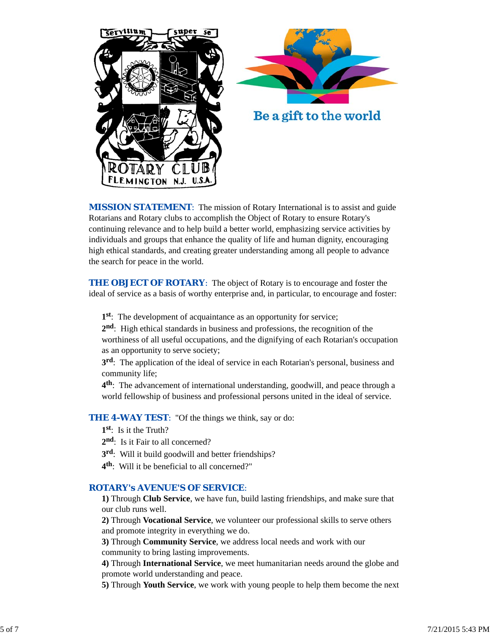



Be a gift to the world

**MISSION STATEMENT:** The mission of Rotary International is to assist and guide Rotarians and Rotary clubs to accomplish the Object of Rotary to ensure Rotary's continuing relevance and to help build a better world, emphasizing service activities by individuals and groups that enhance the quality of life and human dignity, encouraging high ethical standards, and creating greater understanding among all people to advance the search for peace in the world.

**THE OBJECT OF ROTARY:** The object of Rotary is to encourage and foster the ideal of service as a basis of worthy enterprise and, in particular, to encourage and foster:

**1st**: The development of acquaintance as an opportunity for service;

**2nd**: High ethical standards in business and professions, the recognition of the worthiness of all useful occupations, and the dignifying of each Rotarian's occupation as an opportunity to serve society;

**3rd**: The application of the ideal of service in each Rotarian's personal, business and community life;

**4th**: The advancement of international understanding, goodwill, and peace through a world fellowship of business and professional persons united in the ideal of service.

**THE 4-WAY TEST:** "Of the things we think, say or do:

- **1st**: Is it the Truth?
- 2<sup>nd</sup>: Is it Fair to all concerned?
- **3rd**: Will it build goodwill and better friendships?
- **4th**: Will it be beneficial to all concerned?"

## *ROTARY's AVENUE'S OF SERVICE*:

**1)** Through **Club Service**, we have fun, build lasting friendships, and make sure that our club runs well.

**2)** Through **Vocational Service**, we volunteer our professional skills to serve others and promote integrity in everything we do.

**3)** Through **Community Service**, we address local needs and work with our community to bring lasting improvements.

**4)** Through **International Service**, we meet humanitarian needs around the globe and promote world understanding and peace.

**5)** Through **Youth Service**, we work with young people to help them become the next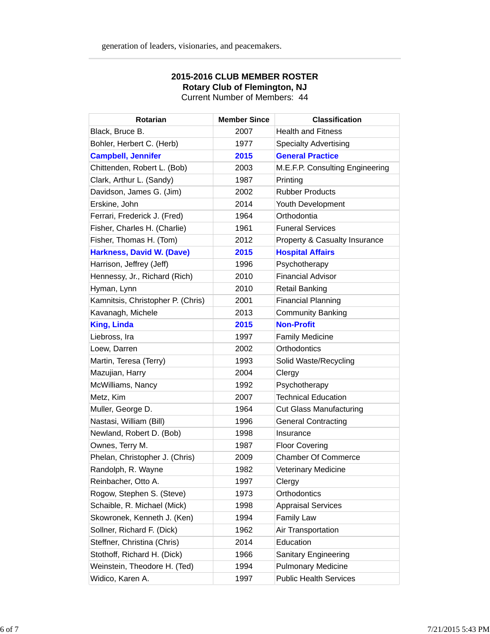| <b>Rotarian</b>                   | <b>Member Since</b> | <b>Classification</b>           |
|-----------------------------------|---------------------|---------------------------------|
| Black, Bruce B.                   | 2007                | <b>Health and Fitness</b>       |
| Bohler, Herbert C. (Herb)         | 1977                | <b>Specialty Advertising</b>    |
| <b>Campbell, Jennifer</b>         | 2015                | <b>General Practice</b>         |
| Chittenden, Robert L. (Bob)       | 2003                | M.E.F.P. Consulting Engineering |
| Clark, Arthur L. (Sandy)          | 1987                | Printing                        |
| Davidson, James G. (Jim)          | 2002                | <b>Rubber Products</b>          |
| Erskine, John                     | 2014                | Youth Development               |
| Ferrari, Frederick J. (Fred)      | 1964                | Orthodontia                     |
| Fisher, Charles H. (Charlie)      | 1961                | <b>Funeral Services</b>         |
| Fisher, Thomas H. (Tom)           | 2012                | Property & Casualty Insurance   |
| <b>Harkness, David W. (Dave)</b>  | 2015                | <b>Hospital Affairs</b>         |
| Harrison, Jeffrey (Jeff)          | 1996                | Psychotherapy                   |
| Hennessy, Jr., Richard (Rich)     | 2010                | <b>Financial Advisor</b>        |
| Hyman, Lynn                       | 2010                | <b>Retail Banking</b>           |
| Kamnitsis, Christopher P. (Chris) | 2001                | <b>Financial Planning</b>       |
| Kavanagh, Michele                 | 2013                | <b>Community Banking</b>        |
| <b>King, Linda</b>                | 2015                | <b>Non-Profit</b>               |
| Liebross, Ira                     | 1997                | <b>Family Medicine</b>          |
| Loew, Darren                      | 2002                | Orthodontics                    |
| Martin, Teresa (Terry)            | 1993                | Solid Waste/Recycling           |
| Mazujian, Harry                   | 2004                | Clergy                          |
| McWilliams, Nancy                 | 1992                | Psychotherapy                   |
| Metz, Kim                         | 2007                | <b>Technical Education</b>      |
| Muller, George D.                 | 1964                | <b>Cut Glass Manufacturing</b>  |
| Nastasi, William (Bill)           | 1996                | <b>General Contracting</b>      |
| Newland, Robert D. (Bob)          | 1998                | Insurance                       |
| Ownes, Terry M.                   | 1987                | <b>Floor Covering</b>           |
| Phelan, Christopher J. (Chris)    | 2009                | <b>Chamber Of Commerce</b>      |
| Randolph, R. Wayne                | 1982                | <b>Veterinary Medicine</b>      |
| Reinbacher, Otto A.               | 1997                | Clergy                          |
| Rogow, Stephen S. (Steve)         | 1973                | Orthodontics                    |
| Schaible, R. Michael (Mick)       | 1998                | <b>Appraisal Services</b>       |
| Skowronek, Kenneth J. (Ken)       | 1994                | <b>Family Law</b>               |
| Sollner, Richard F. (Dick)        | 1962                | Air Transportation              |
| Steffner, Christina (Chris)       | 2014                | Education                       |
| Stothoff, Richard H. (Dick)       | 1966                | <b>Sanitary Engineering</b>     |
| Weinstein, Theodore H. (Ted)      | 1994                | <b>Pulmonary Medicine</b>       |
| Widico, Karen A.                  | 1997                | <b>Public Health Services</b>   |

## **2015-2016 CLUB MEMBER ROSTER Rotary Club of Flemington, NJ** Current Number of Members: 44